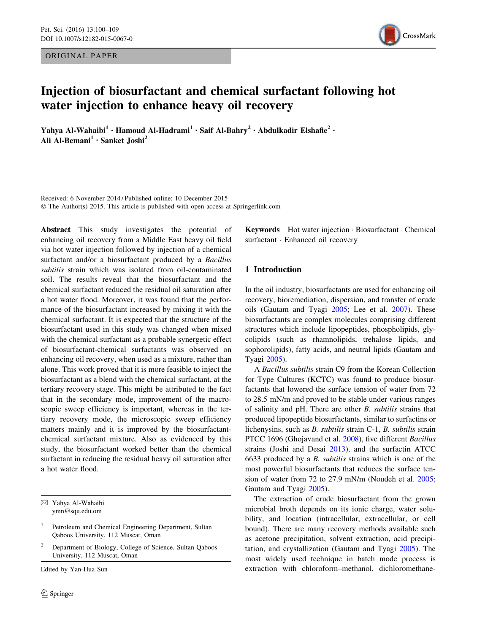ORIGINAL PAPER



# Injection of biosurfactant and chemical surfactant following hot water injection to enhance heavy oil recovery

Yahya Al-Wahaibi<sup>1</sup> • Hamoud Al-Hadrami<sup>1</sup> • Saif Al-Bahry<sup>2</sup> • Abdulkadir Elshafie<sup>2</sup> • Ali Al-Bemani $<sup>1</sup> \cdot$  Sanket Joshi<sup>2</sup></sup>

Received: 6 November 2014 / Published online: 10 December 2015 © The Author(s) 2015. This article is published with open access at Springerlink.com

Abstract This study investigates the potential of enhancing oil recovery from a Middle East heavy oil field via hot water injection followed by injection of a chemical surfactant and/or a biosurfactant produced by a Bacillus subtilis strain which was isolated from oil-contaminated soil. The results reveal that the biosurfactant and the chemical surfactant reduced the residual oil saturation after a hot water flood. Moreover, it was found that the performance of the biosurfactant increased by mixing it with the chemical surfactant. It is expected that the structure of the biosurfactant used in this study was changed when mixed with the chemical surfactant as a probable synergetic effect of biosurfactant-chemical surfactants was observed on enhancing oil recovery, when used as a mixture, rather than alone. This work proved that it is more feasible to inject the biosurfactant as a blend with the chemical surfactant, at the tertiary recovery stage. This might be attributed to the fact that in the secondary mode, improvement of the macroscopic sweep efficiency is important, whereas in the tertiary recovery mode, the microscopic sweep efficiency matters mainly and it is improved by the biosurfactantchemical surfactant mixture. Also as evidenced by this study, the biosurfactant worked better than the chemical surfactant in reducing the residual heavy oil saturation after a hot water flood.

<sup>2</sup> Department of Biology, College of Science, Sultan Qaboos University, 112 Muscat, Oman

Edited by Yan-Hua Sun

Keywords Hot water injection · Biosurfactant · Chemical surfactant - Enhanced oil recovery

## 1 Introduction

In the oil industry, biosurfactants are used for enhancing oil recovery, bioremediation, dispersion, and transfer of crude oils (Gautam and Tyagi [2005;](#page-8-0) Lee et al. [2007](#page-8-0)). These biosurfactants are complex molecules comprising different structures which include lipopeptides, phospholipids, glycolipids (such as rhamnolipids, trehalose lipids, and sophorolipids), fatty acids, and neutral lipids (Gautam and Tyagi [2005\)](#page-8-0).

A Bacillus subtilis strain C9 from the Korean Collection for Type Cultures (KCTC) was found to produce biosurfactants that lowered the surface tension of water from 72 to 28.5 mN/m and proved to be stable under various ranges of salinity and pH. There are other B. subtilis strains that produced lipopeptide biosurfactants, similar to surfactins or lichenysins, such as B. subtilis strain C-1, B. subtilis strain PTCC 1696 (Ghojavand et al. [2008](#page-8-0)), five different Bacillus strains (Joshi and Desai [2013\)](#page-8-0), and the surfactin ATCC 6633 produced by a B. subtilis strains which is one of the most powerful biosurfactants that reduces the surface tension of water from 72 to 27.9 mN/m (Noudeh et al. [2005](#page-8-0); Gautam and Tyagi [2005\)](#page-8-0).

The extraction of crude biosurfactant from the grown microbial broth depends on its ionic charge, water solubility, and location (intracellular, extracellular, or cell bound). There are many recovery methods available such as acetone precipitation, solvent extraction, acid precipitation, and crystallization (Gautam and Tyagi [2005\)](#page-8-0). The most widely used technique in batch mode process is extraction with chloroform–methanol, dichloromethane-

<sup>&</sup>amp; Yahya Al-Wahaibi ymn@squ.edu.om

<sup>1</sup> Petroleum and Chemical Engineering Department, Sultan Qaboos University, 112 Muscat, Oman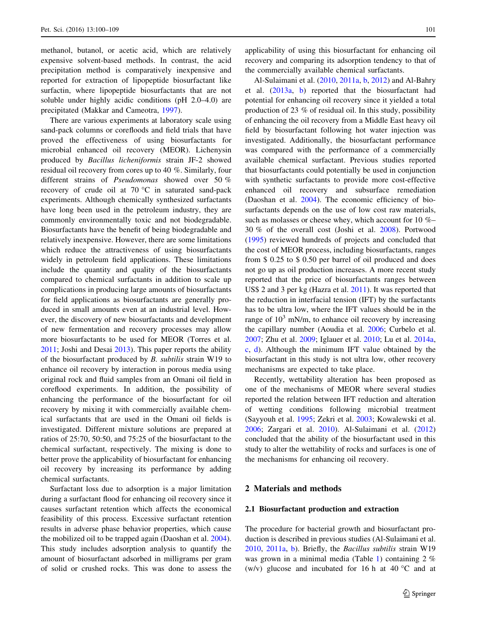methanol, butanol, or acetic acid, which are relatively expensive solvent-based methods. In contrast, the acid precipitation method is comparatively inexpensive and reported for extraction of lipopeptide biosurfactant like surfactin, where lipopeptide biosurfactants that are not soluble under highly acidic conditions (pH 2.0–4.0) are precipitated (Makkar and Cameotra, [1997](#page-8-0)).

There are various experiments at laboratory scale using sand-pack columns or corefloods and field trials that have proved the effectiveness of using biosurfactants for microbial enhanced oil recovery (MEOR). Lichenysin produced by Bacillus licheniformis strain JF-2 showed residual oil recovery from cores up to 40 %. Similarly, four different strains of Pseudomonas showed over 50 % recovery of crude oil at  $70^{\circ}$ C in saturated sand-pack experiments. Although chemically synthesized surfactants have long been used in the petroleum industry, they are commonly environmentally toxic and not biodegradable. Biosurfactants have the benefit of being biodegradable and relatively inexpensive. However, there are some limitations which reduce the attractiveness of using biosurfactants widely in petroleum field applications. These limitations include the quantity and quality of the biosurfactants compared to chemical surfactants in addition to scale up complications in producing large amounts of biosurfactants for field applications as biosurfactants are generally produced in small amounts even at an industrial level. However, the discovery of new biosurfactants and development of new fermentation and recovery processes may allow more biosurfactants to be used for MEOR (Torres et al. [2011;](#page-9-0) Joshi and Desai [2013](#page-8-0)). This paper reports the ability of the biosurfactant produced by B. subtilis strain W19 to enhance oil recovery by interaction in porous media using original rock and fluid samples from an Omani oil field in coreflood experiments. In addition, the possibility of enhancing the performance of the biosurfactant for oil recovery by mixing it with commercially available chemical surfactants that are used in the Omani oil fields is investigated. Different mixture solutions are prepared at ratios of 25:70, 50:50, and 75:25 of the biosurfactant to the chemical surfactant, respectively. The mixing is done to better prove the applicability of biosurfactant for enhancing oil recovery by increasing its performance by adding chemical surfactants.

Surfactant loss due to adsorption is a major limitation during a surfactant flood for enhancing oil recovery since it causes surfactant retention which affects the economical feasibility of this process. Excessive surfactant retention results in adverse phase behavior properties, which cause the mobilized oil to be trapped again (Daoshan et al. [2004](#page-8-0)). This study includes adsorption analysis to quantify the amount of biosurfactant adsorbed in milligrams per gram of solid or crushed rocks. This was done to assess the applicability of using this biosurfactant for enhancing oil recovery and comparing its adsorption tendency to that of the commercially available chemical surfactants.

Al-Sulaimani et al. [\(2010](#page-8-0), [2011a,](#page-8-0) [b,](#page-8-0) [2012\)](#page-8-0) and Al-Bahry et al. [\(2013a,](#page-8-0) [b](#page-8-0)) reported that the biosurfactant had potential for enhancing oil recovery since it yielded a total production of 23 % of residual oil. In this study, possibility of enhancing the oil recovery from a Middle East heavy oil field by biosurfactant following hot water injection was investigated. Additionally, the biosurfactant performance was compared with the performance of a commercially available chemical surfactant. Previous studies reported that biosurfactants could potentially be used in conjunction with synthetic surfactants to provide more cost-effective enhanced oil recovery and subsurface remediation (Daoshan et al. [2004\)](#page-8-0). The economic efficiency of biosurfactants depends on the use of low cost raw materials, such as molasses or cheese whey, which account for 10 %– 30 % of the overall cost (Joshi et al. [2008](#page-8-0)). Portwood [\(1995](#page-8-0)) reviewed hundreds of projects and concluded that the cost of MEOR process, including biosurfactants, ranges from \$ 0.25 to \$ 0.50 per barrel of oil produced and does not go up as oil production increases. A more recent study reported that the price of biosurfactants ranges between US\$ 2 and 3 per kg (Hazra et al. [2011](#page-8-0)). It was reported that the reduction in interfacial tension (IFT) by the surfactants has to be ultra low, where the IFT values should be in the range of  $10<sup>3</sup>$  mN/m, to enhance oil recovery by increasing the capillary number (Aoudia et al. [2006](#page-8-0); Curbelo et al. [2007](#page-8-0); Zhu et al. [2009](#page-9-0); Iglauer et al. [2010](#page-8-0); Lu et al. [2014a,](#page-8-0) [c,](#page-8-0) [d](#page-8-0)). Although the minimum IFT value obtained by the biosurfactant in this study is not ultra low, other recovery mechanisms are expected to take place.

Recently, wettability alteration has been proposed as one of the mechanisms of MEOR where several studies reported the relation between IFT reduction and alteration of wetting conditions following microbial treatment (Sayyouh et al. [1995;](#page-8-0) Zekri et al. [2003](#page-9-0); Kowalewski et al. [2006](#page-8-0); Zargari et al. [2010](#page-9-0)). Al-Sulaimani et al. ([2012\)](#page-8-0) concluded that the ability of the biosurfactant used in this study to alter the wettability of rocks and surfaces is one of the mechanisms for enhancing oil recovery.

#### 2 Materials and methods

#### 2.1 Biosurfactant production and extraction

The procedure for bacterial growth and biosurfactant production is described in previous studies (Al-Sulaimani et al. [2010](#page-8-0), [2011a](#page-8-0), [b\)](#page-8-0). Briefly, the Bacillus subtilis strain W19 was grown in a minimal media (Table [1](#page-2-0)) containing 2 % (w/v) glucose and incubated for 16 h at 40  $^{\circ}$ C and at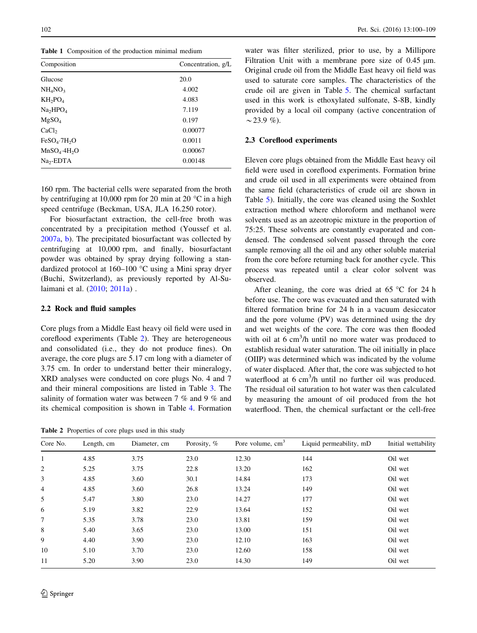<span id="page-2-0"></span>Table 1 Composition of the production minimal medium

| Composition                          | Concentration, g/L |
|--------------------------------------|--------------------|
| Glucose                              | 20.0               |
| NH <sub>4</sub> NO <sub>3</sub>      | 4.002              |
| $KH_2PO_4$                           | 4.083              |
| Na <sub>2</sub> HPO <sub>4</sub>     | 7.119              |
| MgSO <sub>4</sub>                    | 0.197              |
| CaCl <sub>2</sub>                    | 0.00077            |
| FeSO <sub>4</sub> ·7H <sub>2</sub> O | 0.0011             |
| $MnSO_4.4H_2O$                       | 0.00067            |
| $Na2-EDTA$                           | 0.00148            |

160 rpm. The bacterial cells were separated from the broth by centrifuging at 10,000 rpm for 20 min at 20  $\degree$ C in a high speed centrifuge (Beckman, USA, JLA 16.250 rotor).

For biosurfactant extraction, the cell-free broth was concentrated by a precipitation method (Youssef et al. [2007a](#page-9-0), [b](#page-9-0)). The precipitated biosurfactant was collected by centrifuging at 10,000 rpm, and finally, biosurfactant powder was obtained by spray drying following a standardized protocol at  $160-100$  °C using a Mini spray dryer (Buchi, Switzerland), as previously reported by Al-Sulaimani et al. ([2010](#page-8-0); [2011a](#page-8-0)) .

#### 2.2 Rock and fluid samples

Core plugs from a Middle East heavy oil field were used in coreflood experiments (Table 2). They are heterogeneous and consolidated (i.e., they do not produce fines). On average, the core plugs are 5.17 cm long with a diameter of 3.75 cm. In order to understand better their mineralogy, XRD analyses were conducted on core plugs No. 4 and 7 and their mineral compositions are listed in Table [3](#page-3-0). The salinity of formation water was between 7 % and 9 % and its chemical composition is shown in Table [4](#page-3-0). Formation

Table 2 Properties of core plugs used in this study

water was filter sterilized, prior to use, by a Millipore Filtration Unit with a membrane pore size of  $0.45 \mu m$ . Original crude oil from the Middle East heavy oil field was used to saturate core samples. The characteristics of the crude oil are given in Table [5](#page-3-0). The chemical surfactant used in this work is ethoxylated sulfonate, S-8B, kindly provided by a local oil company (active concentration of  $\sim$  23.9 %).

#### 2.3 Coreflood experiments

Eleven core plugs obtained from the Middle East heavy oil field were used in coreflood experiments. Formation brine and crude oil used in all experiments were obtained from the same field (characteristics of crude oil are shown in Table [5](#page-3-0)). Initially, the core was cleaned using the Soxhlet extraction method where chloroform and methanol were solvents used as an azeotropic mixture in the proportion of 75:25. These solvents are constantly evaporated and condensed. The condensed solvent passed through the core sample removing all the oil and any other soluble material from the core before returning back for another cycle. This process was repeated until a clear color solvent was observed.

After cleaning, the core was dried at  $65^{\circ}$ C for 24 h before use. The core was evacuated and then saturated with filtered formation brine for 24 h in a vacuum desiccator and the pore volume (PV) was determined using the dry and wet weights of the core. The core was then flooded with oil at  $6 \text{ cm}^3$ /h until no more water was produced to establish residual water saturation. The oil initially in place (OIIP) was determined which was indicated by the volume of water displaced. After that, the core was subjected to hot waterflood at 6 cm<sup>3</sup>/h until no further oil was produced. The residual oil saturation to hot water was then calculated by measuring the amount of oil produced from the hot waterflood. Then, the chemical surfactant or the cell-free

| Core No.       | Length, cm | Diameter, cm | Porosity, % | Pore volume, $cm3$ | Liquid permeability, mD | Initial wettability |
|----------------|------------|--------------|-------------|--------------------|-------------------------|---------------------|
|                | 4.85       | 3.75         | 23.0        | 12.30              | 144                     | Oil wet             |
| 2              | 5.25       | 3.75         | 22.8        | 13.20              | 162                     | Oil wet             |
| 3              | 4.85       | 3.60         | 30.1        | 14.84              | 173                     | Oil wet             |
| $\overline{4}$ | 4.85       | 3.60         | 26.8        | 13.24              | 149                     | Oil wet             |
| 5              | 5.47       | 3.80         | 23.0        | 14.27              | 177                     | Oil wet             |
| 6              | 5.19       | 3.82         | 22.9        | 13.64              | 152                     | Oil wet             |
| 7              | 5.35       | 3.78         | 23.0        | 13.81              | 159                     | Oil wet             |
| 8              | 5.40       | 3.65         | 23.0        | 13.00              | 151                     | Oil wet             |
| 9              | 4.40       | 3.90         | 23.0        | 12.10              | 163                     | Oil wet             |
| 10             | 5.10       | 3.70         | 23.0        | 12.60              | 158                     | Oil wet             |
| 11             | 5.20       | 3.90         | 23.0        | 14.30              | 149                     | Oil wet             |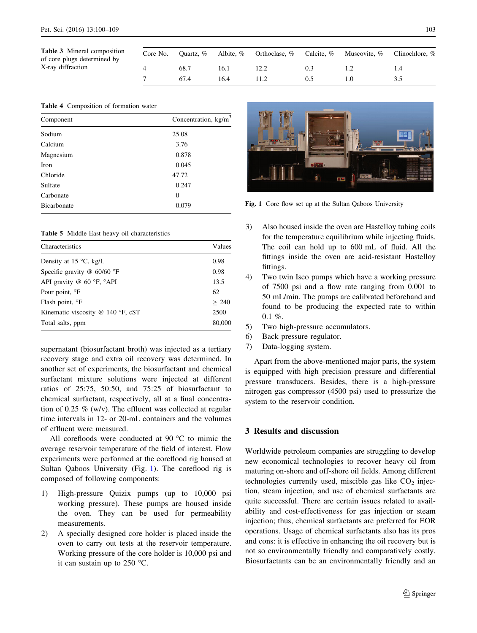<span id="page-3-0"></span>

| <b>Table 3</b> Mineral composition<br>of core plugs determined by<br>X-ray diffraction | Core No. | Ouartz, $\%$ | Albite, $%$ | Orthoclase, $%$ | Calcite, $%$ | Muscovite, $\%$ Clinochlore, $\%$ |  |
|----------------------------------------------------------------------------------------|----------|--------------|-------------|-----------------|--------------|-----------------------------------|--|
|                                                                                        |          | 68.          | 16. I       |                 |              |                                   |  |
|                                                                                        |          | 67.4         | 16.4        |                 |              |                                   |  |

Table 4 Composition of formation water

| Component   | Concentration, kg/m <sup>3</sup> |
|-------------|----------------------------------|
| Sodium      | 25.08                            |
| Calcium     | 3.76                             |
| Magnesium   | 0.878                            |
| Iron        | 0.045                            |
| Chloride    | 47.72                            |
| Sulfate     | 0.247                            |
| Carbonate   | 0                                |
| Bicarbonate | 0.079                            |

Table 5 Middle East heavy oil characteristics

| <b>Characteristics</b>             | Values |  |
|------------------------------------|--------|--|
| Density at 15 $\degree$ C, kg/L    | 0.98   |  |
| Specific gravity $\omega$ 60/60 °F | 0.98   |  |
| API gravity $@$ 60 °F, °API        | 13.5   |  |
| Pour point, <sup>o</sup> F         | 62     |  |
| Flash point, <sup>o</sup> F        | > 240  |  |
| Kinematic viscosity @ 140 °F, cST  | 2500   |  |
| Total salts, ppm                   | 80,000 |  |

supernatant (biosurfactant broth) was injected as a tertiary recovery stage and extra oil recovery was determined. In another set of experiments, the biosurfactant and chemical surfactant mixture solutions were injected at different ratios of 25:75, 50:50, and 75:25 of biosurfactant to chemical surfactant, respectively, all at a final concentration of 0.25 % (w/v). The effluent was collected at regular time intervals in 12- or 20-mL containers and the volumes of effluent were measured.

All corefloods were conducted at 90  $\degree$ C to mimic the average reservoir temperature of the field of interest. Flow experiments were performed at the coreflood rig housed at Sultan Qaboos University (Fig. 1). The coreflood rig is composed of following components:

- 1) High-pressure Quizix pumps (up to 10,000 psi working pressure). These pumps are housed inside the oven. They can be used for permeability measurements.
- 2) A specially designed core holder is placed inside the oven to carry out tests at the reservoir temperature. Working pressure of the core holder is 10,000 psi and it can sustain up to  $250$  °C.



Fig. 1 Core flow set up at the Sultan Qaboos University

- 3) Also housed inside the oven are Hastelloy tubing coils for the temperature equilibrium while injecting fluids. The coil can hold up to 600 mL of fluid. All the fittings inside the oven are acid-resistant Hastelloy fittings.
- 4) Two twin Isco pumps which have a working pressure of 7500 psi and a flow rate ranging from 0.001 to 50 mL/min. The pumps are calibrated beforehand and found to be producing the expected rate to within  $0.1 \%$ .
- 5) Two high-pressure accumulators.
- 6) Back pressure regulator.
- 7) Data-logging system.

Apart from the above-mentioned major parts, the system is equipped with high precision pressure and differential pressure transducers. Besides, there is a high-pressure nitrogen gas compressor (4500 psi) used to pressurize the system to the reservoir condition.

## 3 Results and discussion

Worldwide petroleum companies are struggling to develop new economical technologies to recover heavy oil from maturing on-shore and off-shore oil fields. Among different technologies currently used, miscible gas like  $CO<sub>2</sub>$  injection, steam injection, and use of chemical surfactants are quite successful. There are certain issues related to availability and cost-effectiveness for gas injection or steam injection; thus, chemical surfactants are preferred for EOR operations. Usage of chemical surfactants also has its pros and cons: it is effective in enhancing the oil recovery but is not so environmentally friendly and comparatively costly. Biosurfactants can be an environmentally friendly and an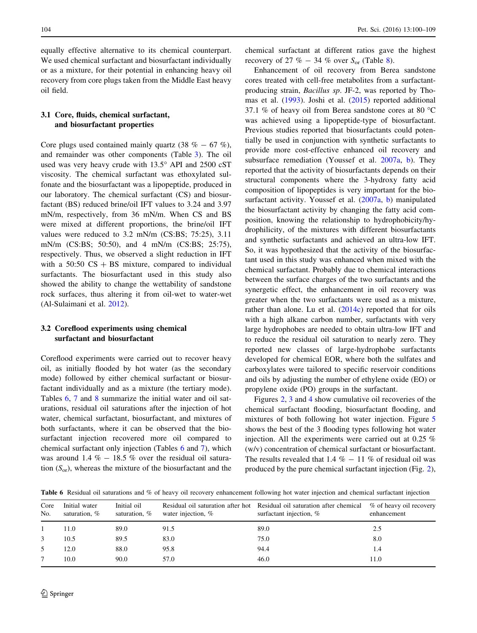<span id="page-4-0"></span>equally effective alternative to its chemical counterpart. We used chemical surfactant and biosurfactant individually or as a mixture, for their potential in enhancing heavy oil recovery from core plugs taken from the Middle East heavy oil field.

## 3.1 Core, fluids, chemical surfactant, and biosurfactant properties

Core plugs used contained mainly quartz (38  $% - 67 \%$ ), and remainder was other components (Table [3\)](#page-3-0). The oil used was very heavy crude with  $13.5^{\circ}$  API and  $2500$  cST viscosity. The chemical surfactant was ethoxylated sulfonate and the biosurfactant was a lipopeptide, produced in our laboratory. The chemical surfactant (CS) and biosurfactant (BS) reduced brine/oil IFT values to 3.24 and 3.97 mN/m, respectively, from 36 mN/m. When CS and BS were mixed at different proportions, the brine/oil IFT values were reduced to 3.2 mN/m (CS:BS; 75:25), 3.11 mN/m (CS:BS; 50:50), and 4 mN/m (CS:BS; 25:75), respectively. Thus, we observed a slight reduction in IFT with a 50:50  $CS + BS$  mixture, compared to individual surfactants. The biosurfactant used in this study also showed the ability to change the wettability of sandstone rock surfaces, thus altering it from oil-wet to water-wet (Al-Sulaimani et al. [2012](#page-8-0)).

## 3.2 Coreflood experiments using chemical surfactant and biosurfactant

Coreflood experiments were carried out to recover heavy oil, as initially flooded by hot water (as the secondary mode) followed by either chemical surfactant or biosurfactant individually and as a mixture (the tertiary mode). Tables 6, [7](#page-5-0) and [8](#page-5-0) summarize the initial water and oil saturations, residual oil saturations after the injection of hot water, chemical surfactant, biosurfactant, and mixtures of both surfactants, where it can be observed that the biosurfactant injection recovered more oil compared to chemical surfactant only injection (Tables 6 and [7\)](#page-5-0), which was around 1.4  $\% - 18.5\%$  over the residual oil saturation  $(S_{\text{or}})$ , whereas the mixture of the biosurfactant and the chemical surfactant at different ratios gave the highest recovery of 27 %  $-$  34 % over S<sub>or</sub> (Table [8](#page-5-0)).

Enhancement of oil recovery from Berea sandstone cores treated with cell-free metabolites from a surfactantproducing strain, Bacillus sp. JF-2, was reported by Thomas et al. [\(1993](#page-8-0)). Joshi et al. ([2015\)](#page-8-0) reported additional 37.1 % of heavy oil from Berea sandstone cores at 80  $^{\circ}$ C was achieved using a lipopeptide-type of biosurfactant. Previous studies reported that biosurfactants could potentially be used in conjunction with synthetic surfactants to provide more cost-effective enhanced oil recovery and subsurface remediation (Youssef et al. [2007a](#page-9-0), [b\)](#page-9-0). They reported that the activity of biosurfactants depends on their structural components where the 3-hydroxy fatty acid composition of lipopeptides is very important for the biosurfactant activity. Youssef et al. [\(2007a,](#page-9-0) [b](#page-9-0)) manipulated the biosurfactant activity by changing the fatty acid composition, knowing the relationship to hydrophobicity/hydrophilicity, of the mixtures with different biosurfactants and synthetic surfactants and achieved an ultra-low IFT. So, it was hypothesized that the activity of the biosurfactant used in this study was enhanced when mixed with the chemical surfactant. Probably due to chemical interactions between the surface charges of the two surfactants and the synergetic effect, the enhancement in oil recovery was greater when the two surfactants were used as a mixture, rather than alone. Lu et al. [\(2014c\)](#page-8-0) reported that for oils with a high alkane carbon number, surfactants with very large hydrophobes are needed to obtain ultra-low IFT and to reduce the residual oil saturation to nearly zero. They reported new classes of large-hydrophobe surfactants developed for chemical EOR, where both the sulfates and carboxylates were tailored to specific reservoir conditions and oils by adjusting the number of ethylene oxide (EO) or propylene oxide (PO) groups in the surfactant.

Figures [2,](#page-5-0) [3](#page-5-0) and [4](#page-6-0) show cumulative oil recoveries of the chemical surfactant flooding, biosurfactant flooding, and mixtures of both following hot water injection. Figure [5](#page-6-0) shows the best of the 3 flooding types following hot water injection. All the experiments were carried out at 0.25 % (w/v) concentration of chemical surfactant or biosurfactant. The results revealed that 1.4  $% -11$  % of residual oil was produced by the pure chemical surfactant injection (Fig. [2](#page-5-0)),

Table 6 Residual oil saturations and % of heavy oil recovery enhancement following hot water injection and chemical surfactant injection

| Core<br>No. | Initial water<br>saturation, % | Initial oil<br>saturation, % | water injection, % | Residual oil saturation after hot Residual oil saturation after chemical<br>surfactant injection, % | % of heavy oil recovery<br>enhancement |
|-------------|--------------------------------|------------------------------|--------------------|-----------------------------------------------------------------------------------------------------|----------------------------------------|
|             | 11.0                           | 89.0                         | 91.5               | 89.0                                                                                                | 2.5                                    |
| 3           | 10.5                           | 89.5                         | 83.0               | 75.0                                                                                                | 8.0                                    |
|             | 12.0                           | 88.0                         | 95.8               | 94.4                                                                                                | 1.4                                    |
|             | 10.0                           | 90.0                         | 57.0               | 46.0                                                                                                | 11.0                                   |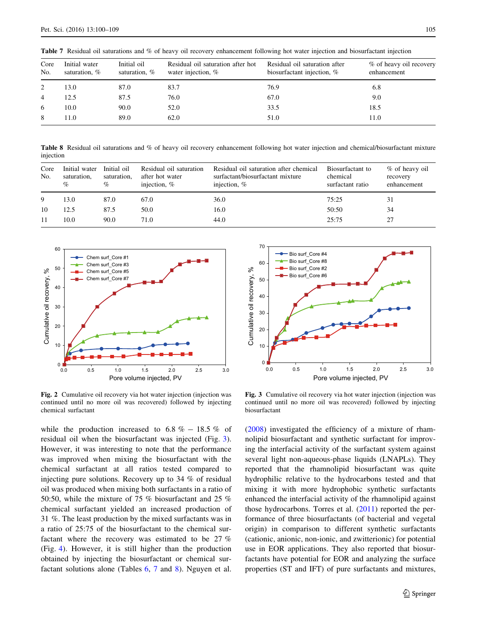<span id="page-5-0"></span>

|  |  |  |  | Table 7 Residual oil saturations and % of heavy oil recovery enhancement following hot water injection and biosurfactant injection |
|--|--|--|--|------------------------------------------------------------------------------------------------------------------------------------|
|  |  |  |  |                                                                                                                                    |

| Core<br>No.    | Initial water<br>saturation, % | Initial oil<br>saturation, % | Residual oil saturation after hot<br>water injection, % | Residual oil saturation after<br>biosurfactant injection, % | % of heavy oil recovery<br>enhancement |
|----------------|--------------------------------|------------------------------|---------------------------------------------------------|-------------------------------------------------------------|----------------------------------------|
| 2              | 13.0                           | 87.0                         | 83.7                                                    | 76.9                                                        | 6.8                                    |
| $\overline{4}$ | 12.5                           | 87.5                         | 76.0                                                    | 67.0                                                        | 9.0                                    |
| 6              | 10.0                           | 90.0                         | 52.0                                                    | 33.5                                                        | 18.5                                   |
| 8              | 11.0                           | 89.0                         | 62.0                                                    | 51.0                                                        | 11.0                                   |

Table 8 Residual oil saturations and % of heavy oil recovery enhancement following hot water injection and chemical/biosurfactant mixture injection

| Core<br>No. | Initial water<br>saturation,<br>$\%$ | Initial oil<br>saturation,<br>$\%$ | Residual oil saturation<br>after hot water<br>injection, $%$ | Residual oil saturation after chemical<br>surfactant/biosurfactant mixture<br>injection, $%$ | Biosurfactant to<br>chemical<br>surfactant ratio | % of heavy oil<br>recovery<br>enhancement |
|-------------|--------------------------------------|------------------------------------|--------------------------------------------------------------|----------------------------------------------------------------------------------------------|--------------------------------------------------|-------------------------------------------|
| 9           | 13.0                                 | 87.0                               | 67.0                                                         | 36.0                                                                                         | 75:25                                            | 31                                        |
| 10          | 12.5                                 | 87.5                               | 50.0                                                         | 16.0                                                                                         | 50:50                                            | 34                                        |
| 11          | 10.0                                 | 90.0                               | 71.0                                                         | 44.0                                                                                         | 25:75                                            | 27                                        |



70 Bio surf\_Core #4 Bio surf\_Core #8 60 Bio surf\_Core #2 ಸಿ Cumulative oil recovery, % Bio surf\_Core #6 Cumulative oil recovery. 50 40 30 20 10 0 0.0 0.5 1.0 1.5 2.0 2.5 3.0 Pore volume injected, PV

Fig. 2 Cumulative oil recovery via hot water injection (injection was continued until no more oil was recovered) followed by injecting chemical surfactant

while the production increased to  $6.8\% - 18.5\%$  of residual oil when the biosurfactant was injected (Fig. 3). However, it was interesting to note that the performance was improved when mixing the biosurfactant with the chemical surfactant at all ratios tested compared to injecting pure solutions. Recovery up to 34 % of residual oil was produced when mixing both surfactants in a ratio of 50:50, while the mixture of 75 % biosurfactant and 25 % chemical surfactant yielded an increased production of 31 %. The least production by the mixed surfactants was in a ratio of 25:75 of the biosurfactant to the chemical surfactant where the recovery was estimated to be 27 % (Fig. [4](#page-6-0)). However, it is still higher than the production obtained by injecting the biosurfactant or chemical surfactant solutions alone (Tables [6,](#page-4-0) 7 and 8). Nguyen et al.

Fig. 3 Cumulative oil recovery via hot water injection (injection was continued until no more oil was recovered) followed by injecting biosurfactant

[\(2008](#page-8-0)) investigated the efficiency of a mixture of rhamnolipid biosurfactant and synthetic surfactant for improving the interfacial activity of the surfactant system against several light non-aqueous-phase liquids (LNAPLs). They reported that the rhamnolipid biosurfactant was quite hydrophilic relative to the hydrocarbons tested and that mixing it with more hydrophobic synthetic surfactants enhanced the interfacial activity of the rhamnolipid against those hydrocarbons. Torres et al. [\(2011](#page-9-0)) reported the performance of three biosurfactants (of bacterial and vegetal origin) in comparison to different synthetic surfactants (cationic, anionic, non-ionic, and zwitterionic) for potential use in EOR applications. They also reported that biosurfactants have potential for EOR and analyzing the surface properties (ST and IFT) of pure surfactants and mixtures,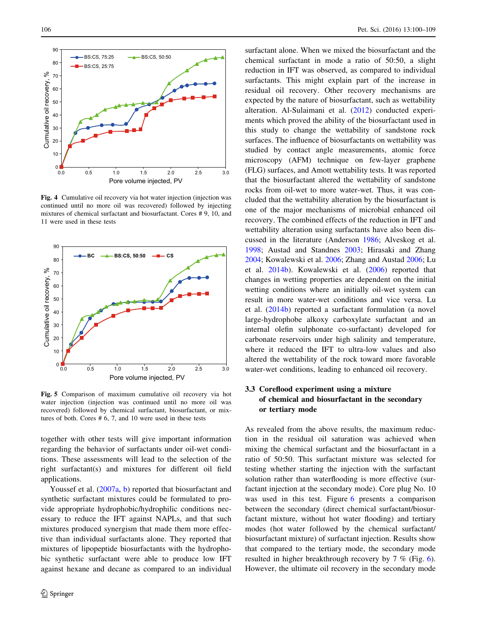<span id="page-6-0"></span>

Fig. 4 Cumulative oil recovery via hot water injection (injection was continued until no more oil was recovered) followed by injecting mixtures of chemical surfactant and biosurfactant. Cores # 9, 10, and 11 were used in these tests



Fig. 5 Comparison of maximum cumulative oil recovery via hot water injection (injection was continued until no more oil was recovered) followed by chemical surfactant, biosurfactant, or mixtures of both. Cores # 6, 7, and 10 were used in these tests

together with other tests will give important information regarding the behavior of surfactants under oil-wet conditions. These assessments will lead to the selection of the right surfactant(s) and mixtures for different oil field applications.

Youssef et al. [\(2007a,](#page-9-0) [b\)](#page-9-0) reported that biosurfactant and synthetic surfactant mixtures could be formulated to provide appropriate hydrophobic/hydrophilic conditions necessary to reduce the IFT against NAPLs, and that such mixtures produced synergism that made them more effective than individual surfactants alone. They reported that mixtures of lipopeptide biosurfactants with the hydrophobic synthetic surfactant were able to produce low IFT against hexane and decane as compared to an individual

surfactant alone. When we mixed the biosurfactant and the chemical surfactant in mode a ratio of 50:50, a slight reduction in IFT was observed, as compared to individual surfactants. This might explain part of the increase in residual oil recovery. Other recovery mechanisms are expected by the nature of biosurfactant, such as wettability alteration. Al-Sulaimani et al. [\(2012](#page-8-0)) conducted experiments which proved the ability of the biosurfactant used in this study to change the wettability of sandstone rock surfaces. The influence of biosurfactants on wettability was studied by contact angle measurements, atomic force microscopy (AFM) technique on few-layer graphene (FLG) surfaces, and Amott wettability tests. It was reported that the biosurfactant altered the wettability of sandstone rocks from oil-wet to more water-wet. Thus, it was concluded that the wettability alteration by the biosurfactant is one of the major mechanisms of microbial enhanced oil recovery. The combined effects of the reduction in IFT and wettability alteration using surfactants have also been discussed in the literature (Anderson [1986](#page-8-0); Alveskog et al. [1998](#page-8-0); Austad and Standnes [2003](#page-8-0); Hirasaki and Zhang [2004](#page-8-0); Kowalewski et al. [2006](#page-8-0); Zhang and Austad [2006;](#page-9-0) Lu et al. [2014b](#page-8-0)). Kowalewski et al. [\(2006](#page-8-0)) reported that changes in wetting properties are dependent on the initial wetting conditions where an initially oil-wet system can result in more water-wet conditions and vice versa. Lu et al. [\(2014b](#page-8-0)) reported a surfactant formulation (a novel large-hydrophobe alkoxy carboxylate surfactant and an internal olefin sulphonate co-surfactant) developed for carbonate reservoirs under high salinity and temperature, where it reduced the IFT to ultra-low values and also altered the wettability of the rock toward more favorable water-wet conditions, leading to enhanced oil recovery.

## 3.3 Coreflood experiment using a mixture of chemical and biosurfactant in the secondary or tertiary mode

As revealed from the above results, the maximum reduction in the residual oil saturation was achieved when mixing the chemical surfactant and the biosurfactant in a ratio of 50:50. This surfactant mixture was selected for testing whether starting the injection with the surfactant solution rather than waterflooding is more effective (surfactant injection at the secondary mode). Core plug No. 10 was used in this test. Figure [6](#page-7-0) presents a comparison between the secondary (direct chemical surfactant/biosurfactant mixture, without hot water flooding) and tertiary modes (hot water followed by the chemical surfactant/ biosurfactant mixture) of surfactant injection. Results show that compared to the tertiary mode, the secondary mode resulted in higher breakthrough recovery by 7 % (Fig. [6](#page-7-0)). However, the ultimate oil recovery in the secondary mode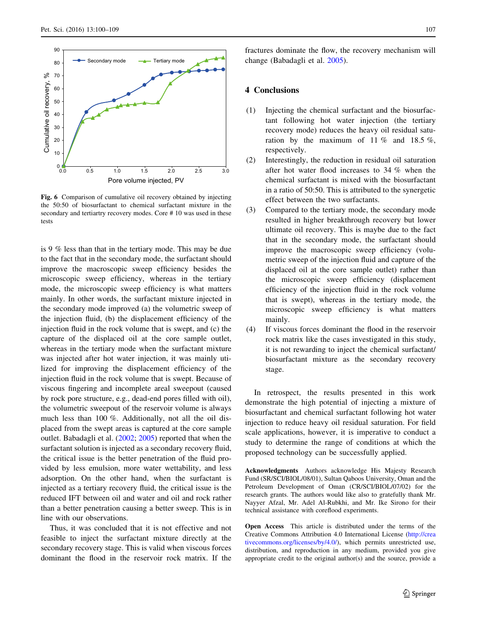<span id="page-7-0"></span>

Fig. 6 Comparison of cumulative oil recovery obtained by injecting the 50:50 of biosurfactant to chemical surfactant mixture in the secondary and tertiartry recovery modes. Core # 10 was used in these tests

is 9 % less than that in the tertiary mode. This may be due to the fact that in the secondary mode, the surfactant should improve the macroscopic sweep efficiency besides the microscopic sweep efficiency, whereas in the tertiary mode, the microscopic sweep efficiency is what matters mainly. In other words, the surfactant mixture injected in the secondary mode improved (a) the volumetric sweep of the injection fluid, (b) the displacement efficiency of the injection fluid in the rock volume that is swept, and (c) the capture of the displaced oil at the core sample outlet, whereas in the tertiary mode when the surfactant mixture was injected after hot water injection, it was mainly utilized for improving the displacement efficiency of the injection fluid in the rock volume that is swept. Because of viscous fingering and incomplete areal sweepout (caused by rock pore structure, e.g., dead-end pores filled with oil), the volumetric sweepout of the reservoir volume is always much less than 100 %. Additionally, not all the oil displaced from the swept areas is captured at the core sample outlet. Babadagli et al. ([2002;](#page-8-0) [2005](#page-8-0)) reported that when the surfactant solution is injected as a secondary recovery fluid, the critical issue is the better penetration of the fluid provided by less emulsion, more water wettability, and less adsorption. On the other hand, when the surfactant is injected as a tertiary recovery fluid, the critical issue is the reduced IFT between oil and water and oil and rock rather than a better penetration causing a better sweep. This is in line with our observations.

Thus, it was concluded that it is not effective and not feasible to inject the surfactant mixture directly at the secondary recovery stage. This is valid when viscous forces dominant the flood in the reservoir rock matrix. If the

fractures dominate the flow, the recovery mechanism will change (Babadagli et al. [2005\)](#page-8-0).

#### 4 Conclusions

- (1) Injecting the chemical surfactant and the biosurfactant following hot water injection (the tertiary recovery mode) reduces the heavy oil residual saturation by the maximum of 11  $%$  and 18.5  $%$ , respectively.
- (2) Interestingly, the reduction in residual oil saturation after hot water flood increases to 34 % when the chemical surfactant is mixed with the biosurfactant in a ratio of 50:50. This is attributed to the synergetic effect between the two surfactants.
- (3) Compared to the tertiary mode, the secondary mode resulted in higher breakthrough recovery but lower ultimate oil recovery. This is maybe due to the fact that in the secondary mode, the surfactant should improve the macroscopic sweep efficiency (volumetric sweep of the injection fluid and capture of the displaced oil at the core sample outlet) rather than the microscopic sweep efficiency (displacement efficiency of the injection fluid in the rock volume that is swept), whereas in the tertiary mode, the microscopic sweep efficiency is what matters mainly.
- (4) If viscous forces dominant the flood in the reservoir rock matrix like the cases investigated in this study, it is not rewarding to inject the chemical surfactant/ biosurfactant mixture as the secondary recovery stage.

In retrospect, the results presented in this work demonstrate the high potential of injecting a mixture of biosurfactant and chemical surfactant following hot water injection to reduce heavy oil residual saturation. For field scale applications, however, it is imperative to conduct a study to determine the range of conditions at which the proposed technology can be successfully applied.

Acknowledgments Authors acknowledge His Majesty Research Fund (SR/SCI/BIOL/08/01), Sultan Qaboos University, Oman and the Petroleum Development of Oman (CR/SCI/BIOL/07/02) for the research grants. The authors would like also to gratefully thank Mr. Nayyer Afzal, Mr. Adel Al-Rubkhi, and Mr. Ike Sirono for their technical assistance with coreflood experiments.

Open Access This article is distributed under the terms of the Creative Commons Attribution 4.0 International License ([http://crea](http://creativecommons.org/licenses/by/4.0/) [tivecommons.org/licenses/by/4.0/\)](http://creativecommons.org/licenses/by/4.0/), which permits unrestricted use, distribution, and reproduction in any medium, provided you give appropriate credit to the original author(s) and the source, provide a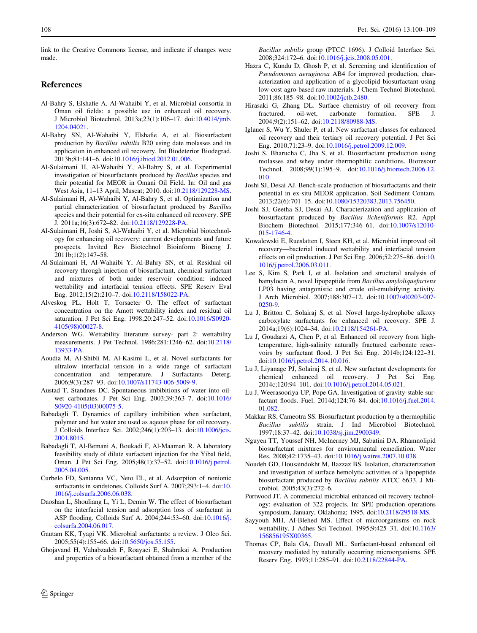<span id="page-8-0"></span>link to the Creative Commons license, and indicate if changes were made.

#### References

- Al-Bahry S, Elshafie A, Al-Wahaibi Y, et al. Microbial consortia in Oman oil fields: a possible use in enhanced oil recovery. J Microbiol Biotechnol. 2013a;23(1):106–17. doi:[10.4014/jmb.](http://dx.doi.org/10.4014/jmb.1204.04021) [1204.04021](http://dx.doi.org/10.4014/jmb.1204.04021).
- Al-Bahry SN, Al-Wahaibi Y, Elshafie A, et al. Biosurfactant production by Bacillus subtilis B20 using date molasses and its application in enhanced oil recovery. Int Biodeterior Biodegrad. 2013b;81:141–6. doi:[10.1016/j.ibiod.2012.01.006](http://dx.doi.org/10.1016/j.ibiod.2012.01.006).
- Al-Sulaimani H, Al-Wahaibi Y, Al-Bahry S, et al. Experimental investigation of biosurfactants produced by Bacillus species and their potential for MEOR in Omani Oil Field. In: Oil and gas West Asia, 11–13 April, Muscat; 2010. doi:[10.2118/129228-MS](http://dx.doi.org/10.2118/129228-MS).
- Al-Sulaimani H, Al-Wahaibi Y, Al-Bahry S, et al. Optimization and partial characterization of biosurfactant produced by Bacillus species and their potential for ex-situ enhanced oil recovery. SPE J. 2011a;16(3):672–82. doi:[10.2118/129228-PA.](http://dx.doi.org/10.2118/129228-PA)
- Al-Sulaimani H, Joshi S, Al-Wahaibi Y, et al. Microbial biotechnology for enhancing oil recovery: current developments and future prospects. Invited Rev Biotechnol Bioinform Bioeng J. 2011b;1(2):147–58.
- Al-Sulaimani H, Al-Wahaibi Y, Al-Bahry SN, et al. Residual oil recovery through injection of biosurfactant, chemical surfactant and mixtures of both under reservoir condition: induced wettability and interfacial tension effects. SPE Reserv Eval Eng. 2012;15(2):210–7. doi[:10.2118/158022-PA.](http://dx.doi.org/10.2118/158022-PA)
- Alveskog PL, Holt T, Torsaeter O. The effect of surfactant concentration on the Amott wettability index and residual oil saturation. J Pet Sci Eng. 1998;20:247–52. doi:[10.1016/S0920-](http://dx.doi.org/10.1016/S0920-4105(98)00027-8) [4105\(98\)00027-8](http://dx.doi.org/10.1016/S0920-4105(98)00027-8).
- Anderson WG. Wettability literature survey- part 2: wettability measurements. J Pet Technol. 1986;281:1246–62. doi[:10.2118/](http://dx.doi.org/10.2118/13933-PA) [13933-PA.](http://dx.doi.org/10.2118/13933-PA)
- Aoudia M, Al-Shibli M, Al-Kasimi L, et al. Novel surfactants for ultralow interfacial tension in a wide range of surfactant concentration and temperature. J Surfactants Deterg. 2006;9(3):287–93. doi[:10.1007/s11743-006-5009-9](http://dx.doi.org/10.1007/s11743-006-5009-9).
- Austad T, Standnes DC. Spontaneous imbibitions of water into oilwet carbonates. J Pet Sci Eng. 2003;39:363–7. doi[:10.1016/](http://dx.doi.org/10.1016/S0920-4105(03)00075-5) [S0920-4105\(03\)00075-5.](http://dx.doi.org/10.1016/S0920-4105(03)00075-5)
- Babadagli T. Dynamics of capillary imbibition when surfactant, polymer and hot water are used as aqeous phase for oil recovery. J Colloids Interface Sci. 2002;246(1):203–13. doi[:10.1006/jcis.](http://dx.doi.org/10.1006/jcis.2001.8015) [2001.8015](http://dx.doi.org/10.1006/jcis.2001.8015).
- Babadagli T, Al-Bemani A, Boukadi F, Al-Maamari R. A laboratory feasibility study of dilute surfactant injection for the Yibal field, Oman. J Pet Sci Eng. 2005;48(1):37–52. doi:[10.1016/j.petrol.](http://dx.doi.org/10.1016/j.petrol.2005.04.005) [2005.04.005](http://dx.doi.org/10.1016/j.petrol.2005.04.005).
- Curbelo FD, Santanna VC, Neto EL, et al. Adsorption of nonionic surfactants in sandstones. Colloids Surf A. 2007;293:1–4. doi:[10.](http://dx.doi.org/10.1016/j.colsurfa.2006.06.038) [1016/j.colsurfa.2006.06.038.](http://dx.doi.org/10.1016/j.colsurfa.2006.06.038)
- Daoshan L, Shouliang L, Yi L, Demin W. The effect of biosurfactant on the interfacial tension and adsorption loss of surfactant in ASP flooding. Colloids Surf A. 2004;244:53–60. doi:[10.1016/j.](http://dx.doi.org/10.1016/j.colsurfa.2004.06.017) [colsurfa.2004.06.017.](http://dx.doi.org/10.1016/j.colsurfa.2004.06.017)
- Gautam KK, Tyagi VK. Microbial surfactants: a review. J Oleo Sci. 2005;55(4):155–66. doi:[10.5650/jos.55.155.](http://dx.doi.org/10.5650/jos.55.155)
- Ghojavand H, Vahabzadeh F, Roayaei E, Shahrakai A. Production and properties of a biosurfactant obtained from a member of the

Bacillus subtilis group (PTCC 1696). J Colloid Interface Sci. 2008;324:172–6. doi:[10.1016/j.jcis.2008.05.001.](http://dx.doi.org/10.1016/j.jcis.2008.05.001)

- Hazra C, Kundu D, Ghosh P, et al. Screening and identification of Pseudomonas aeruginosa AB4 for improved production, characterization and application of a glycolipid biosurfactant using low-cost agro-based raw materials. J Chem Technol Biotechnol. 2011;86:185–98. doi:[10.1002/jctb.2480.](http://dx.doi.org/10.1002/jctb.2480)
- Hirasaki G, Zhang DL. Surface chemistry of oil recovery from fractured, oil-wet, carbonate formation. SPE J. 2004;9(2):151–62. doi:[10.2118/80988-MS.](http://dx.doi.org/10.2118/80988-MS)
- Iglauer S, Wu Y, Shuler P, et al. New surfactant classes for enhanced oil recovery and their tertiary oil recovery potential. J Pet Sci Eng. 2010;71:23–9. doi[:10.1016/j.petrol.2009.12.009.](http://dx.doi.org/10.1016/j.petrol.2009.12.009)
- Joshi S, Bharucha C, Jha S, et al. Biosurfactant production using molasses and whey under thermophilic conditions. Bioresour Technol. 2008;99(1):195–9. doi:[10.1016/j.biortech.2006.12.](http://dx.doi.org/10.1016/j.biortech.2006.12.010) [010](http://dx.doi.org/10.1016/j.biortech.2006.12.010).
- Joshi SJ, Desai AJ. Bench-scale production of biosurfactants and their potential in ex-situ MEOR application. Soil Sediment Contam. 2013;22(6):701–15. doi:[10.1080/15320383.2013.756450](http://dx.doi.org/10.1080/15320383.2013.756450).
- Joshi SJ, Geetha SJ, Desai AJ. Characterization and application of biosurfactant produced by Bacillus licheniformis R2. Appl Biochem Biotechnol. 2015;177:346–61. doi[:10.1007/s12010-](http://dx.doi.org/10.1007/s12010-015-1746-4) [015-1746-4.](http://dx.doi.org/10.1007/s12010-015-1746-4)
- Kowalewski E, Rueslatten I, Steen KH, et al. Microbial improved oil recovery—bacterial induced wettability and interfacial tension effects on oil production. J Pet Sci Eng. 2006;52:275–86. doi:[10.](http://dx.doi.org/10.1016/j.petrol.2006.03.011) [1016/j.petrol.2006.03.011](http://dx.doi.org/10.1016/j.petrol.2006.03.011).
- Lee S, Kim S, Park I, et al. Isolation and structural analysis of bamylocin A, novel lipopeptide from Bacillus amyloliquefaciens LP03 having antagonistic and crude oil-emulsifying activity. J Arch Microbiol. 2007;188:307–12. doi:[10.1007/s00203-007-](http://dx.doi.org/10.1007/s00203-007-0250-9) [0250-9](http://dx.doi.org/10.1007/s00203-007-0250-9).
- Lu J, Britton C, Solairaj S, et al. Novel large-hydrophobe alkoxy carboxylate surfactants for enhanced oil recovery. SPE J. 2014a;19(6):1024–34. doi:[10.2118/154261-PA.](http://dx.doi.org/10.2118/154261-PA)
- Lu J, Goudarzi A, Chen P, et al. Enhanced oil recovery from hightemperature, high-salinity naturally fractured carbonate reservoirs by surfactant flood. J Pet Sci Eng. 2014b;124:122–31. doi[:10.1016/j.petrol.2014.10.016](http://dx.doi.org/10.1016/j.petrol.2014.10.016).
- Lu J, Liyanage PJ, Solairaj S, et al. New surfactant developments for chemical enhanced oil recovery. J Pet Sci Eng. 2014c;120:94–101. doi:[10.1016/j.petrol.2014.05.021.](http://dx.doi.org/10.1016/j.petrol.2014.05.021)
- Lu J, Weerasooriya UP, Pope GA. Investigation of gravity-stable surfactant floods. Fuel. 2014d;124:76–84. doi[:10.1016/j.fuel.2014.](http://dx.doi.org/10.1016/j.fuel.2014.01.082) [01.082](http://dx.doi.org/10.1016/j.fuel.2014.01.082).
- Makkar RS, Cameotra SS. Biosurfactant production by a thermophilic Bacillus subtilis strain. J Ind Microbiol Biotechnol. 1997;18:37–42. doi:[10.1038/sj.jim.2900349](http://dx.doi.org/10.1038/sj.jim.2900349).
- Nguyen TT, Youssef NH, McInerney MJ, Sabatini DA. Rhamnolipid biosurfactant mixtures for environmental remediation. Water Res. 2008;42:1735–43. doi:[10.1016/j.watres.2007.10.038.](http://dx.doi.org/10.1016/j.watres.2007.10.038)
- Noudeh GD, Housaindokht M, Bazzaz BS. Isolation, characterization and investigation of surface hemolytic activities of a lipopeptide biosurfactant produced by Bacillus subtilis ATCC 6633. J Microbiol. 2005;43(3):272–6.
- Portwood JT. A commercial microbial enhanced oil recovery technology: evaluation of 322 projects. In: SPE production operations symposium, January, Oklahoma; 1995. doi[:10.2118/29518-MS.](http://dx.doi.org/10.2118/29518-MS)
- Sayyouh MH, Al-Blehed MS. Effect of microorganisms on rock wettability. J Adhes Sci Technol. 1995;9:425–31. doi[:10.1163/](http://dx.doi.org/10.1163/156856195X00365) [156856195X00365.](http://dx.doi.org/10.1163/156856195X00365)
- Thomas CP, Bala GA, Duvall ML. Surfactant-based enhanced oil recovery mediated by naturally occurring microorganisms. SPE Reserv Eng. 1993;11:285–91. doi:[10.2118/22844-PA.](http://dx.doi.org/10.2118/22844-PA)